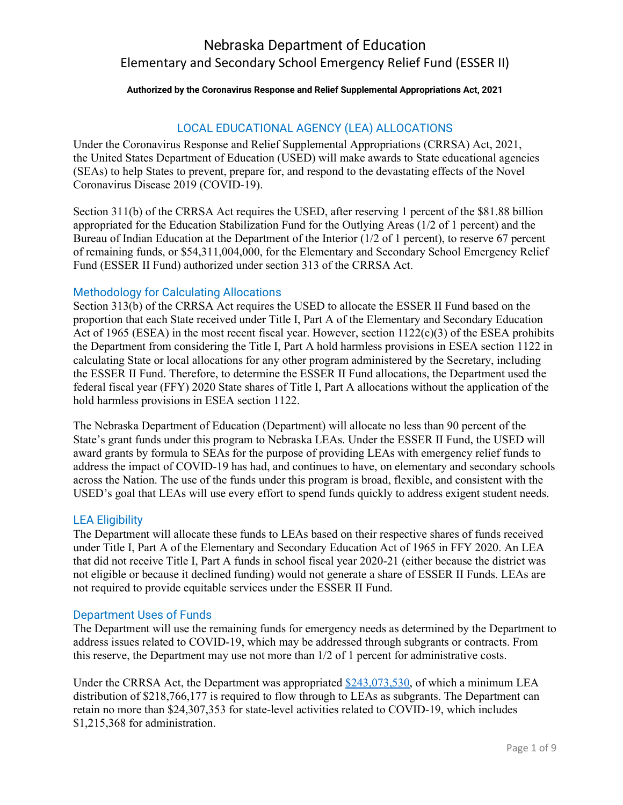#### **Authorized by the Coronavirus Response and Relief Supplemental Appropriations Act, 2021**

#### LOCAL EDUCATIONAL AGENCY (LEA) ALLOCATIONS

Under the Coronavirus Response and Relief Supplemental Appropriations (CRRSA) Act, 2021, the United States Department of Education (USED) will make awards to State educational agencies (SEAs) to help States to prevent, prepare for, and respond to the devastating effects of the Novel Coronavirus Disease 2019 (COVID-19).

Section 311(b) of the CRRSA Act requires the USED, after reserving 1 percent of the \$81.88 billion appropriated for the Education Stabilization Fund for the Outlying Areas (1/2 of 1 percent) and the Bureau of Indian Education at the Department of the Interior (1/2 of 1 percent), to reserve 67 percent of remaining funds, or \$54,311,004,000, for the Elementary and Secondary School Emergency Relief Fund (ESSER II Fund) authorized under section 313 of the CRRSA Act.

#### Methodology for Calculating Allocations

Section 313(b) of the CRRSA Act requires the USED to allocate the ESSER II Fund based on the proportion that each State received under Title I, Part A of the Elementary and Secondary Education Act of 1965 (ESEA) in the most recent fiscal year. However, section 1122(c)(3) of the ESEA prohibits the Department from considering the Title I, Part A hold harmless provisions in ESEA section 1122 in calculating State or local allocations for any other program administered by the Secretary, including the ESSER II Fund. Therefore, to determine the ESSER II Fund allocations, the Department used the federal fiscal year (FFY) 2020 State shares of Title I, Part A allocations without the application of the hold harmless provisions in ESEA section 1122.

The Nebraska Department of Education (Department) will allocate no less than 90 percent of the State's grant funds under this program to Nebraska LEAs. Under the ESSER II Fund, the USED will award grants by formula to SEAs for the purpose of providing LEAs with emergency relief funds to address the impact of COVID-19 has had, and continues to have, on elementary and secondary schools across the Nation. The use of the funds under this program is broad, flexible, and consistent with the USED's goal that LEAs will use every effort to spend funds quickly to address exigent student needs.

#### LEA Eligibility

The Department will allocate these funds to LEAs based on their respective shares of funds received under Title I, Part A of the Elementary and Secondary Education Act of 1965 in FFY 2020. An LEA that did not receive Title I, Part A funds in school fiscal year 2020-21 (either because the district was not eligible or because it declined funding) would not generate a share of ESSER II Funds. LEAs are not required to provide equitable services under the ESSER II Fund.

#### Department Uses of Funds

The Department will use the remaining funds for emergency needs as determined by the Department to address issues related to COVID-19, which may be addressed through subgrants or contracts. From this reserve, the Department may use not more than 1/2 of 1 percent for administrative costs.

Under the CRRSA Act, the Department was appropriated [\\$243,073,530,](https://oese.ed.gov/files/2021/01/Final_ESSERII_Methodology_Table_1.5.21.pdf) of which a minimum LEA distribution of \$218,766,177 is required to flow through to LEAs as subgrants. The Department can retain no more than \$24,307,353 for state-level activities related to COVID-19, which includes \$1,215,368 for administration.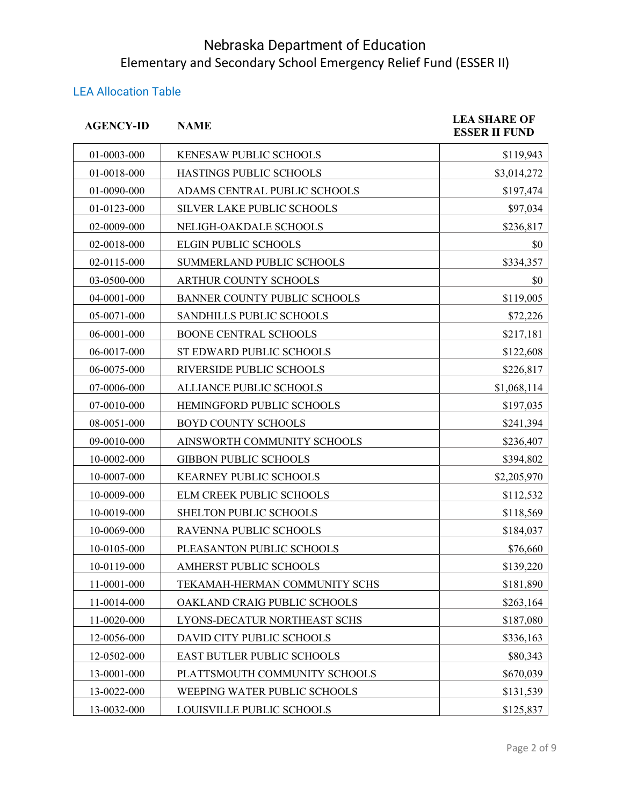#### LEA Allocation Table

| <b>AGENCY-ID</b> | <b>NAME</b>                         | <b>LEA SHARE OF</b><br><b>ESSER II FUND</b> |
|------------------|-------------------------------------|---------------------------------------------|
| 01-0003-000      | KENESAW PUBLIC SCHOOLS              | \$119,943                                   |
| 01-0018-000      | HASTINGS PUBLIC SCHOOLS             | \$3,014,272                                 |
| 01-0090-000      | ADAMS CENTRAL PUBLIC SCHOOLS        | \$197,474                                   |
| 01-0123-000      | SILVER LAKE PUBLIC SCHOOLS          | \$97,034                                    |
| 02-0009-000      | NELIGH-OAKDALE SCHOOLS              | \$236,817                                   |
| 02-0018-000      | <b>ELGIN PUBLIC SCHOOLS</b>         | \$0                                         |
| 02-0115-000      | SUMMERLAND PUBLIC SCHOOLS           | \$334,357                                   |
| 03-0500-000      | ARTHUR COUNTY SCHOOLS               | \$0                                         |
| 04-0001-000      | <b>BANNER COUNTY PUBLIC SCHOOLS</b> | \$119,005                                   |
| 05-0071-000      | SANDHILLS PUBLIC SCHOOLS            | \$72,226                                    |
| 06-0001-000      | <b>BOONE CENTRAL SCHOOLS</b>        | \$217,181                                   |
| 06-0017-000      | ST EDWARD PUBLIC SCHOOLS            | \$122,608                                   |
| 06-0075-000      | RIVERSIDE PUBLIC SCHOOLS            | \$226,817                                   |
| 07-0006-000      | ALLIANCE PUBLIC SCHOOLS             | \$1,068,114                                 |
| 07-0010-000      | HEMINGFORD PUBLIC SCHOOLS           | \$197,035                                   |
| 08-0051-000      | <b>BOYD COUNTY SCHOOLS</b>          | \$241,394                                   |
| 09-0010-000      | AINSWORTH COMMUNITY SCHOOLS         | \$236,407                                   |
| 10-0002-000      | <b>GIBBON PUBLIC SCHOOLS</b>        | \$394,802                                   |
| 10-0007-000      | KEARNEY PUBLIC SCHOOLS              | \$2,205,970                                 |
| 10-0009-000      | ELM CREEK PUBLIC SCHOOLS            | \$112,532                                   |
| 10-0019-000      | <b>SHELTON PUBLIC SCHOOLS</b>       | \$118,569                                   |
| 10-0069-000      | RAVENNA PUBLIC SCHOOLS              | \$184,037                                   |
| 10-0105-000      | PLEASANTON PUBLIC SCHOOLS           | \$76,660                                    |
| 10-0119-000      | AMHERST PUBLIC SCHOOLS              | \$139,220                                   |
| 11-0001-000      | TEKAMAH-HERMAN COMMUNITY SCHS       | \$181,890                                   |
| 11-0014-000      | OAKLAND CRAIG PUBLIC SCHOOLS        | \$263,164                                   |
| 11-0020-000      | LYONS-DECATUR NORTHEAST SCHS        | \$187,080                                   |
| 12-0056-000      | DAVID CITY PUBLIC SCHOOLS           | \$336,163                                   |
| 12-0502-000      | EAST BUTLER PUBLIC SCHOOLS          | \$80,343                                    |
| 13-0001-000      | PLATTSMOUTH COMMUNITY SCHOOLS       | \$670,039                                   |
| 13-0022-000      | WEEPING WATER PUBLIC SCHOOLS        | \$131,539                                   |
| 13-0032-000      | LOUISVILLE PUBLIC SCHOOLS           | \$125,837                                   |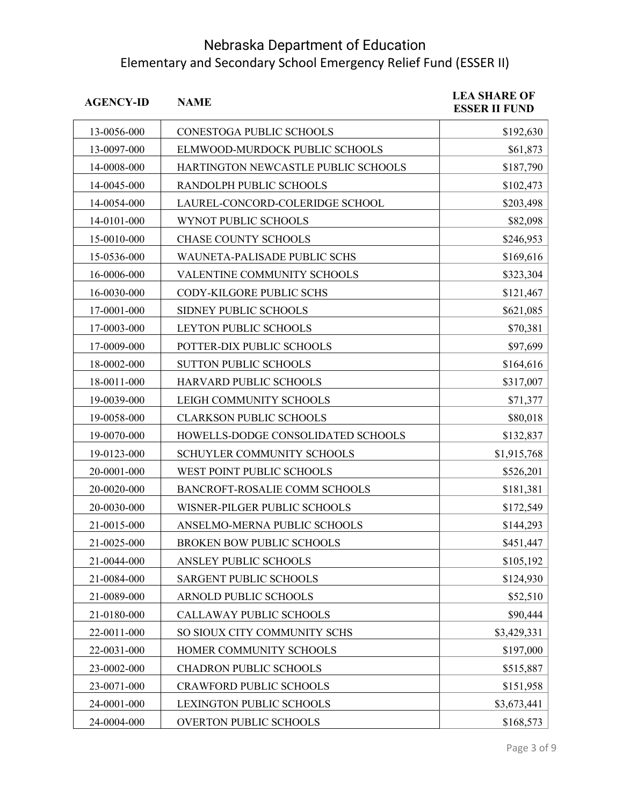| <b>AGENCY-ID</b> | <b>NAME</b>                         | <b>LEA SHARE OF</b><br><b>ESSER II FUND</b> |
|------------------|-------------------------------------|---------------------------------------------|
| 13-0056-000      | CONESTOGA PUBLIC SCHOOLS            | \$192,630                                   |
| 13-0097-000      | ELMWOOD-MURDOCK PUBLIC SCHOOLS      | \$61,873                                    |
| 14-0008-000      | HARTINGTON NEWCASTLE PUBLIC SCHOOLS | \$187,790                                   |
| 14-0045-000      | RANDOLPH PUBLIC SCHOOLS             | \$102,473                                   |
| 14-0054-000      | LAUREL-CONCORD-COLERIDGE SCHOOL     | \$203,498                                   |
| 14-0101-000      | WYNOT PUBLIC SCHOOLS                | \$82,098                                    |
| 15-0010-000      | CHASE COUNTY SCHOOLS                | \$246,953                                   |
| 15-0536-000      | WAUNETA-PALISADE PUBLIC SCHS        | \$169,616                                   |
| 16-0006-000      | VALENTINE COMMUNITY SCHOOLS         | \$323,304                                   |
| 16-0030-000      | CODY-KILGORE PUBLIC SCHS            | \$121,467                                   |
| 17-0001-000      | SIDNEY PUBLIC SCHOOLS               | \$621,085                                   |
| 17-0003-000      | LEYTON PUBLIC SCHOOLS               | \$70,381                                    |
| 17-0009-000      | POTTER-DIX PUBLIC SCHOOLS           | \$97,699                                    |
| 18-0002-000      | SUTTON PUBLIC SCHOOLS               | \$164,616                                   |
| 18-0011-000      | HARVARD PUBLIC SCHOOLS              | \$317,007                                   |
| 19-0039-000      | LEIGH COMMUNITY SCHOOLS             | \$71,377                                    |
| 19-0058-000      | <b>CLARKSON PUBLIC SCHOOLS</b>      | \$80,018                                    |
| 19-0070-000      | HOWELLS-DODGE CONSOLIDATED SCHOOLS  | \$132,837                                   |
| 19-0123-000      | SCHUYLER COMMUNITY SCHOOLS          | \$1,915,768                                 |
| 20-0001-000      | WEST POINT PUBLIC SCHOOLS           | \$526,201                                   |
| 20-0020-000      | BANCROFT-ROSALIE COMM SCHOOLS       | \$181,381                                   |
| 20-0030-000      | WISNER-PILGER PUBLIC SCHOOLS        | \$172,549                                   |
| 21-0015-000      | ANSELMO-MERNA PUBLIC SCHOOLS        | \$144,293                                   |
| 21-0025-000      | BROKEN BOW PUBLIC SCHOOLS           | \$451,447                                   |
| 21-0044-000      | ANSLEY PUBLIC SCHOOLS               | \$105,192                                   |
| 21-0084-000      | SARGENT PUBLIC SCHOOLS              | \$124,930                                   |
| 21-0089-000      | ARNOLD PUBLIC SCHOOLS               | \$52,510                                    |
| 21-0180-000      | CALLAWAY PUBLIC SCHOOLS             | \$90,444                                    |
| 22-0011-000      | SO SIOUX CITY COMMUNITY SCHS        | \$3,429,331                                 |
| 22-0031-000      | HOMER COMMUNITY SCHOOLS             | \$197,000                                   |
| 23-0002-000      | CHADRON PUBLIC SCHOOLS              | \$515,887                                   |
| 23-0071-000      | <b>CRAWFORD PUBLIC SCHOOLS</b>      | \$151,958                                   |
| 24-0001-000      | LEXINGTON PUBLIC SCHOOLS            | \$3,673,441                                 |
| 24-0004-000      | OVERTON PUBLIC SCHOOLS              | \$168,573                                   |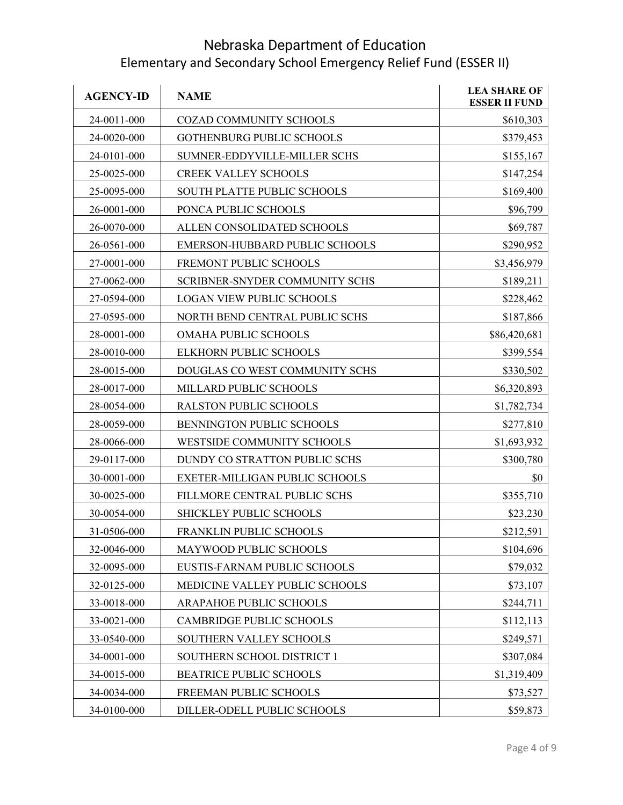| <b>AGENCY-ID</b> | <b>NAME</b>                      | <b>LEA SHARE OF</b><br><b>ESSER II FUND</b> |
|------------------|----------------------------------|---------------------------------------------|
| 24-0011-000      | COZAD COMMUNITY SCHOOLS          | \$610,303                                   |
| 24-0020-000      | <b>GOTHENBURG PUBLIC SCHOOLS</b> | \$379,453                                   |
| 24-0101-000      | SUMNER-EDDYVILLE-MILLER SCHS     | \$155,167                                   |
| 25-0025-000      | <b>CREEK VALLEY SCHOOLS</b>      | \$147,254                                   |
| 25-0095-000      | SOUTH PLATTE PUBLIC SCHOOLS      | \$169,400                                   |
| 26-0001-000      | PONCA PUBLIC SCHOOLS             | \$96,799                                    |
| 26-0070-000      | ALLEN CONSOLIDATED SCHOOLS       | \$69,787                                    |
| 26-0561-000      | EMERSON-HUBBARD PUBLIC SCHOOLS   | \$290,952                                   |
| 27-0001-000      | FREMONT PUBLIC SCHOOLS           | \$3,456,979                                 |
| 27-0062-000      | SCRIBNER-SNYDER COMMUNITY SCHS   | \$189,211                                   |
| 27-0594-000      | <b>LOGAN VIEW PUBLIC SCHOOLS</b> | \$228,462                                   |
| 27-0595-000      | NORTH BEND CENTRAL PUBLIC SCHS   | \$187,866                                   |
| 28-0001-000      | OMAHA PUBLIC SCHOOLS             | \$86,420,681                                |
| 28-0010-000      | ELKHORN PUBLIC SCHOOLS           | \$399,554                                   |
| 28-0015-000      | DOUGLAS CO WEST COMMUNITY SCHS   | \$330,502                                   |
| 28-0017-000      | MILLARD PUBLIC SCHOOLS           | \$6,320,893                                 |
| 28-0054-000      | RALSTON PUBLIC SCHOOLS           | \$1,782,734                                 |
| 28-0059-000      | BENNINGTON PUBLIC SCHOOLS        | \$277,810                                   |
| 28-0066-000      | WESTSIDE COMMUNITY SCHOOLS       | \$1,693,932                                 |
| 29-0117-000      | DUNDY CO STRATTON PUBLIC SCHS    | \$300,780                                   |
| 30-0001-000      | EXETER-MILLIGAN PUBLIC SCHOOLS   | \$0                                         |
| 30-0025-000      | FILLMORE CENTRAL PUBLIC SCHS     | \$355,710                                   |
| 30-0054-000      | SHICKLEY PUBLIC SCHOOLS          | \$23,230                                    |
| 31-0506-000      | FRANKLIN PUBLIC SCHOOLS          | \$212,591                                   |
| 32-0046-000      | MAYWOOD PUBLIC SCHOOLS           | \$104,696                                   |
| 32-0095-000      | EUSTIS-FARNAM PUBLIC SCHOOLS     | \$79,032                                    |
| 32-0125-000      | MEDICINE VALLEY PUBLIC SCHOOLS   | \$73,107                                    |
| 33-0018-000      | ARAPAHOE PUBLIC SCHOOLS          | \$244,711                                   |
| 33-0021-000      | <b>CAMBRIDGE PUBLIC SCHOOLS</b>  | \$112,113                                   |
| 33-0540-000      | SOUTHERN VALLEY SCHOOLS          | \$249,571                                   |
| 34-0001-000      | SOUTHERN SCHOOL DISTRICT 1       | \$307,084                                   |
| 34-0015-000      | <b>BEATRICE PUBLIC SCHOOLS</b>   | \$1,319,409                                 |
| 34-0034-000      | FREEMAN PUBLIC SCHOOLS           | \$73,527                                    |
| 34-0100-000      | DILLER-ODELL PUBLIC SCHOOLS      | \$59,873                                    |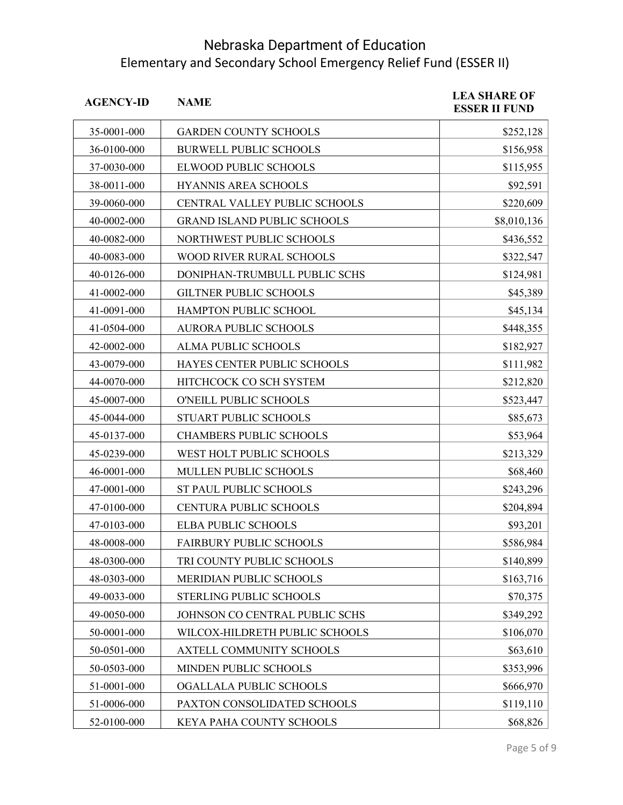| <b>AGENCY-ID</b> | <b>NAME</b>                        | <b>LEA SHARE OF</b><br><b>ESSER II FUND</b> |
|------------------|------------------------------------|---------------------------------------------|
| 35-0001-000      | <b>GARDEN COUNTY SCHOOLS</b>       | \$252,128                                   |
| 36-0100-000      | <b>BURWELL PUBLIC SCHOOLS</b>      | \$156,958                                   |
| 37-0030-000      | ELWOOD PUBLIC SCHOOLS              | \$115,955                                   |
| 38-0011-000      | HYANNIS AREA SCHOOLS               | \$92,591                                    |
| 39-0060-000      | CENTRAL VALLEY PUBLIC SCHOOLS      | \$220,609                                   |
| 40-0002-000      | <b>GRAND ISLAND PUBLIC SCHOOLS</b> | \$8,010,136                                 |
| 40-0082-000      | NORTHWEST PUBLIC SCHOOLS           | \$436,552                                   |
| 40-0083-000      | WOOD RIVER RURAL SCHOOLS           | \$322,547                                   |
| 40-0126-000      | DONIPHAN-TRUMBULL PUBLIC SCHS      | \$124,981                                   |
| 41-0002-000      | <b>GILTNER PUBLIC SCHOOLS</b>      | \$45,389                                    |
| 41-0091-000      | HAMPTON PUBLIC SCHOOL              | \$45,134                                    |
| 41-0504-000      | <b>AURORA PUBLIC SCHOOLS</b>       | \$448,355                                   |
| 42-0002-000      | ALMA PUBLIC SCHOOLS                | \$182,927                                   |
| 43-0079-000      | HAYES CENTER PUBLIC SCHOOLS        | \$111,982                                   |
| 44-0070-000      | HITCHCOCK CO SCH SYSTEM            | \$212,820                                   |
| 45-0007-000      | O'NEILL PUBLIC SCHOOLS             | \$523,447                                   |
| 45-0044-000      | STUART PUBLIC SCHOOLS              | \$85,673                                    |
| 45-0137-000      | <b>CHAMBERS PUBLIC SCHOOLS</b>     | \$53,964                                    |
| 45-0239-000      | WEST HOLT PUBLIC SCHOOLS           | \$213,329                                   |
| 46-0001-000      | MULLEN PUBLIC SCHOOLS              | \$68,460                                    |
| 47-0001-000      | ST PAUL PUBLIC SCHOOLS             | \$243,296                                   |
| 47-0100-000      | CENTURA PUBLIC SCHOOLS             | \$204,894                                   |
| 47-0103-000      | <b>ELBA PUBLIC SCHOOLS</b>         | \$93,201                                    |
| 48-0008-000      | <b>FAIRBURY PUBLIC SCHOOLS</b>     | \$586,984                                   |
| 48-0300-000      | TRI COUNTY PUBLIC SCHOOLS          | \$140,899                                   |
| 48-0303-000      | MERIDIAN PUBLIC SCHOOLS            | \$163,716                                   |
| 49-0033-000      | STERLING PUBLIC SCHOOLS            | \$70,375                                    |
| 49-0050-000      | JOHNSON CO CENTRAL PUBLIC SCHS     | \$349,292                                   |
| 50-0001-000      | WILCOX-HILDRETH PUBLIC SCHOOLS     | \$106,070                                   |
| 50-0501-000      | AXTELL COMMUNITY SCHOOLS           | \$63,610                                    |
| 50-0503-000      | MINDEN PUBLIC SCHOOLS              | \$353,996                                   |
| 51-0001-000      | OGALLALA PUBLIC SCHOOLS            | \$666,970                                   |
| 51-0006-000      | PAXTON CONSOLIDATED SCHOOLS        | \$119,110                                   |
| 52-0100-000      | KEYA PAHA COUNTY SCHOOLS           | \$68,826                                    |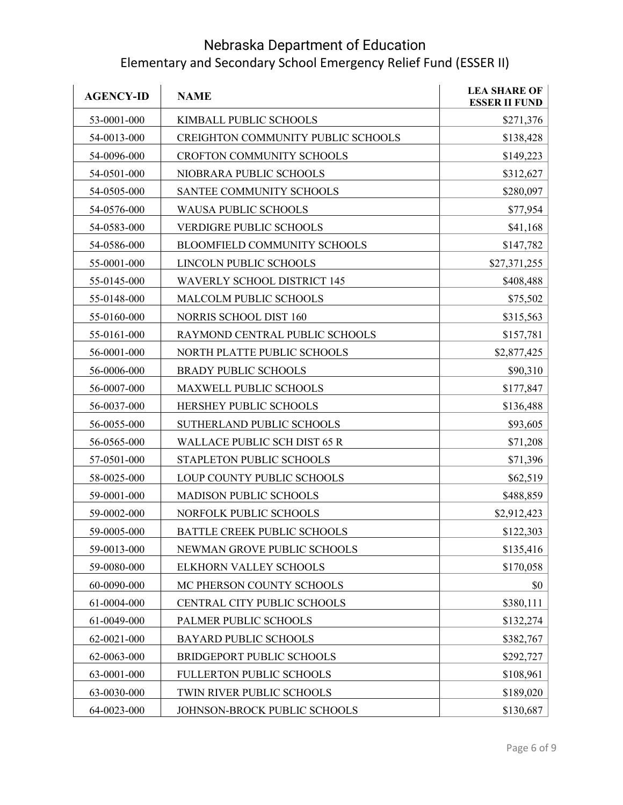| <b>AGENCY-ID</b> | <b>NAME</b>                         | <b>LEA SHARE OF</b><br><b>ESSER II FUND</b> |
|------------------|-------------------------------------|---------------------------------------------|
| 53-0001-000      | KIMBALL PUBLIC SCHOOLS              | \$271,376                                   |
| 54-0013-000      | CREIGHTON COMMUNITY PUBLIC SCHOOLS  | \$138,428                                   |
| 54-0096-000      | CROFTON COMMUNITY SCHOOLS           | \$149,223                                   |
| 54-0501-000      | NIOBRARA PUBLIC SCHOOLS             | \$312,627                                   |
| 54-0505-000      | SANTEE COMMUNITY SCHOOLS            | \$280,097                                   |
| 54-0576-000      | <b>WAUSA PUBLIC SCHOOLS</b>         | \$77,954                                    |
| 54-0583-000      | VERDIGRE PUBLIC SCHOOLS             | \$41,168                                    |
| 54-0586-000      | BLOOMFIELD COMMUNITY SCHOOLS        | \$147,782                                   |
| 55-0001-000      | LINCOLN PUBLIC SCHOOLS              | \$27,371,255                                |
| 55-0145-000      | <b>WAVERLY SCHOOL DISTRICT 145</b>  | \$408,488                                   |
| 55-0148-000      | MALCOLM PUBLIC SCHOOLS              | \$75,502                                    |
| 55-0160-000      | <b>NORRIS SCHOOL DIST 160</b>       | \$315,563                                   |
| 55-0161-000      | RAYMOND CENTRAL PUBLIC SCHOOLS      | \$157,781                                   |
| 56-0001-000      | NORTH PLATTE PUBLIC SCHOOLS         | \$2,877,425                                 |
| 56-0006-000      | <b>BRADY PUBLIC SCHOOLS</b>         | \$90,310                                    |
| 56-0007-000      | MAXWELL PUBLIC SCHOOLS              | \$177,847                                   |
| 56-0037-000      | HERSHEY PUBLIC SCHOOLS              | \$136,488                                   |
| 56-0055-000      | SUTHERLAND PUBLIC SCHOOLS           | \$93,605                                    |
| 56-0565-000      | <b>WALLACE PUBLIC SCH DIST 65 R</b> | \$71,208                                    |
| 57-0501-000      | STAPLETON PUBLIC SCHOOLS            | \$71,396                                    |
| 58-0025-000      | LOUP COUNTY PUBLIC SCHOOLS          | \$62,519                                    |
| 59-0001-000      | MADISON PUBLIC SCHOOLS              | \$488,859                                   |
| 59-0002-000      | NORFOLK PUBLIC SCHOOLS              | \$2,912,423                                 |
| 59-0005-000      | <b>BATTLE CREEK PUBLIC SCHOOLS</b>  | \$122,303                                   |
| 59-0013-000      | NEWMAN GROVE PUBLIC SCHOOLS         | \$135,416                                   |
| 59-0080-000      | ELKHORN VALLEY SCHOOLS              | \$170,058                                   |
| 60-0090-000      | MC PHERSON COUNTY SCHOOLS           | \$0                                         |
| 61-0004-000      | CENTRAL CITY PUBLIC SCHOOLS         | \$380,111                                   |
| 61-0049-000      | PALMER PUBLIC SCHOOLS               | \$132,274                                   |
| 62-0021-000      | <b>BAYARD PUBLIC SCHOOLS</b>        | \$382,767                                   |
| 62-0063-000      | <b>BRIDGEPORT PUBLIC SCHOOLS</b>    | \$292,727                                   |
| 63-0001-000      | FULLERTON PUBLIC SCHOOLS            | \$108,961                                   |
| 63-0030-000      | TWIN RIVER PUBLIC SCHOOLS           | \$189,020                                   |
| 64-0023-000      | JOHNSON-BROCK PUBLIC SCHOOLS        | \$130,687                                   |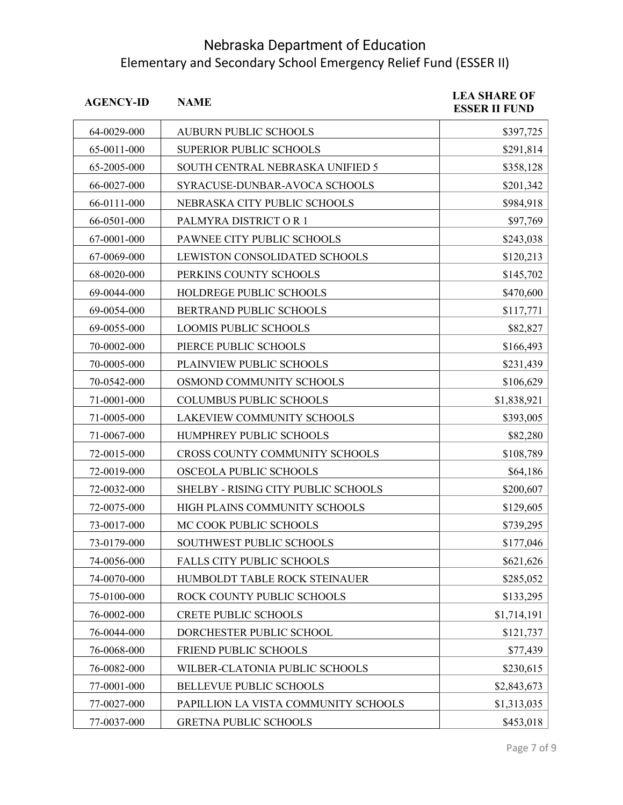| <b>AGENCY-ID</b> | <b>NAME</b>                          | <b>LEA SHARE OF</b><br><b>ESSER II FUND</b> |
|------------------|--------------------------------------|---------------------------------------------|
| 64-0029-000      | <b>AUBURN PUBLIC SCHOOLS</b>         | \$397,725                                   |
| 65-0011-000      | <b>SUPERIOR PUBLIC SCHOOLS</b>       | \$291,814                                   |
| 65-2005-000      | SOUTH CENTRAL NEBRASKA UNIFIED 5     | \$358,128                                   |
| 66-0027-000      | SYRACUSE-DUNBAR-AVOCA SCHOOLS        | \$201,342                                   |
| 66-0111-000      | NEBRASKA CITY PUBLIC SCHOOLS         | \$984,918                                   |
| 66-0501-000      | PALMYRA DISTRICT OR 1                | \$97,769                                    |
| 67-0001-000      | PAWNEE CITY PUBLIC SCHOOLS           | \$243,038                                   |
| 67-0069-000      | LEWISTON CONSOLIDATED SCHOOLS        | \$120,213                                   |
| 68-0020-000      | PERKINS COUNTY SCHOOLS               | \$145,702                                   |
| 69-0044-000      | HOLDREGE PUBLIC SCHOOLS              | \$470,600                                   |
| 69-0054-000      | BERTRAND PUBLIC SCHOOLS              | \$117,771                                   |
| 69-0055-000      | <b>LOOMIS PUBLIC SCHOOLS</b>         | \$82,827                                    |
| 70-0002-000      | PIERCE PUBLIC SCHOOLS                | \$166,493                                   |
| 70-0005-000      | PLAINVIEW PUBLIC SCHOOLS             | \$231,439                                   |
| 70-0542-000      | OSMOND COMMUNITY SCHOOLS             | \$106,629                                   |
| 71-0001-000      | <b>COLUMBUS PUBLIC SCHOOLS</b>       | \$1,838,921                                 |
| 71-0005-000      | LAKEVIEW COMMUNITY SCHOOLS           | \$393,005                                   |
| 71-0067-000      | HUMPHREY PUBLIC SCHOOLS              | \$82,280                                    |
| 72-0015-000      | CROSS COUNTY COMMUNITY SCHOOLS       | \$108,789                                   |
| 72-0019-000      | OSCEOLA PUBLIC SCHOOLS               | \$64,186                                    |
| 72-0032-000      | SHELBY - RISING CITY PUBLIC SCHOOLS  | \$200,607                                   |
| 72-0075-000      | HIGH PLAINS COMMUNITY SCHOOLS        | \$129,605                                   |
| 73-0017-000      | MC COOK PUBLIC SCHOOLS               | \$739,295                                   |
| 73-0179-000      | SOUTHWEST PUBLIC SCHOOLS             | \$177,046                                   |
| 74-0056-000      | FALLS CITY PUBLIC SCHOOLS            | \$621,626                                   |
| 74-0070-000      | HUMBOLDT TABLE ROCK STEINAUER        | \$285,052                                   |
| 75-0100-000      | ROCK COUNTY PUBLIC SCHOOLS           | \$133,295                                   |
| 76-0002-000      | <b>CRETE PUBLIC SCHOOLS</b>          | \$1,714,191                                 |
| 76-0044-000      | DORCHESTER PUBLIC SCHOOL             | \$121,737                                   |
| 76-0068-000      | FRIEND PUBLIC SCHOOLS                | \$77,439                                    |
| 76-0082-000      | WILBER-CLATONIA PUBLIC SCHOOLS       | \$230,615                                   |
| 77-0001-000      | <b>BELLEVUE PUBLIC SCHOOLS</b>       | \$2,843,673                                 |
| 77-0027-000      | PAPILLION LA VISTA COMMUNITY SCHOOLS | \$1,313,035                                 |
| 77-0037-000      | <b>GRETNA PUBLIC SCHOOLS</b>         | \$453,018                                   |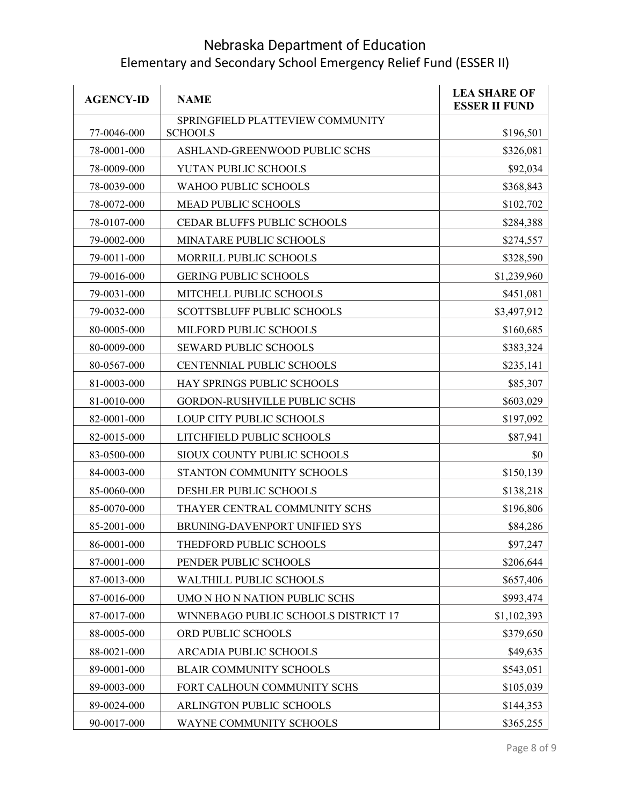| <b>AGENCY-ID</b> | <b>NAME</b>                                        | <b>LEA SHARE OF</b><br><b>ESSER II FUND</b> |
|------------------|----------------------------------------------------|---------------------------------------------|
| 77-0046-000      | SPRINGFIELD PLATTEVIEW COMMUNITY<br><b>SCHOOLS</b> | \$196,501                                   |
| 78-0001-000      | ASHLAND-GREENWOOD PUBLIC SCHS                      | \$326,081                                   |
| 78-0009-000      | YUTAN PUBLIC SCHOOLS                               | \$92,034                                    |
| 78-0039-000      | <b>WAHOO PUBLIC SCHOOLS</b>                        | \$368,843                                   |
| 78-0072-000      | <b>MEAD PUBLIC SCHOOLS</b>                         | \$102,702                                   |
| 78-0107-000      | CEDAR BLUFFS PUBLIC SCHOOLS                        | \$284,388                                   |
| 79-0002-000      | MINATARE PUBLIC SCHOOLS                            | \$274,557                                   |
| 79-0011-000      | MORRILL PUBLIC SCHOOLS                             | \$328,590                                   |
| 79-0016-000      | <b>GERING PUBLIC SCHOOLS</b>                       | \$1,239,960                                 |
| 79-0031-000      | MITCHELL PUBLIC SCHOOLS                            | \$451,081                                   |
| 79-0032-000      | <b>SCOTTSBLUFF PUBLIC SCHOOLS</b>                  | \$3,497,912                                 |
| 80-0005-000      | MILFORD PUBLIC SCHOOLS                             | \$160,685                                   |
| 80-0009-000      | <b>SEWARD PUBLIC SCHOOLS</b>                       | \$383,324                                   |
| 80-0567-000      | <b>CENTENNIAL PUBLIC SCHOOLS</b>                   | \$235,141                                   |
| 81-0003-000      | HAY SPRINGS PUBLIC SCHOOLS                         | \$85,307                                    |
| 81-0010-000      | <b>GORDON-RUSHVILLE PUBLIC SCHS</b>                | \$603,029                                   |
| 82-0001-000      | LOUP CITY PUBLIC SCHOOLS                           | \$197,092                                   |
| 82-0015-000      | LITCHFIELD PUBLIC SCHOOLS                          | \$87,941                                    |
| 83-0500-000      | SIOUX COUNTY PUBLIC SCHOOLS                        | \$0                                         |
| 84-0003-000      | STANTON COMMUNITY SCHOOLS                          | \$150,139                                   |
| 85-0060-000      | DESHLER PUBLIC SCHOOLS                             | \$138,218                                   |
| 85-0070-000      | THAYER CENTRAL COMMUNITY SCHS                      | \$196,806                                   |
| 85-2001-000      | BRUNING-DAVENPORT UNIFIED SYS                      | \$84,286                                    |
| 86-0001-000      | THEDFORD PUBLIC SCHOOLS                            | \$97,247                                    |
| 87-0001-000      | PENDER PUBLIC SCHOOLS                              | \$206,644                                   |
| 87-0013-000      | WALTHILL PUBLIC SCHOOLS                            | \$657,406                                   |
| 87-0016-000      | UMO N HO N NATION PUBLIC SCHS                      | \$993,474                                   |
| 87-0017-000      | WINNEBAGO PUBLIC SCHOOLS DISTRICT 17               | \$1,102,393                                 |
| 88-0005-000      | ORD PUBLIC SCHOOLS                                 | \$379,650                                   |
| 88-0021-000      | ARCADIA PUBLIC SCHOOLS                             | \$49,635                                    |
| 89-0001-000      | <b>BLAIR COMMUNITY SCHOOLS</b>                     | \$543,051                                   |
| 89-0003-000      | FORT CALHOUN COMMUNITY SCHS                        | \$105,039                                   |
| 89-0024-000      | ARLINGTON PUBLIC SCHOOLS                           | \$144,353                                   |
| 90-0017-000      | WAYNE COMMUNITY SCHOOLS                            | \$365,255                                   |